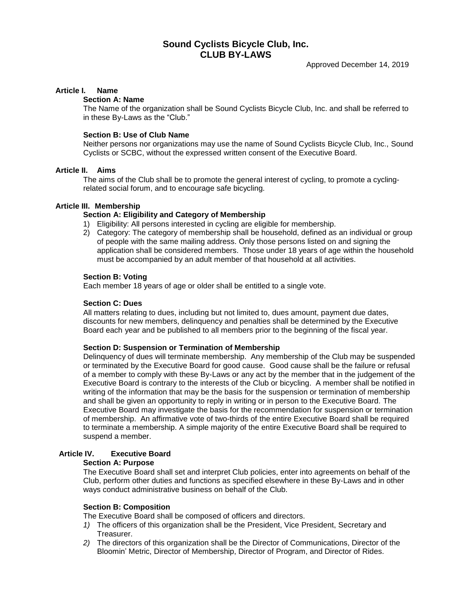# **Sound Cyclists Bicycle Club, Inc. CLUB BY-LAWS**

#### **Article I. Name**

#### **Section A: Name**

The Name of the organization shall be Sound Cyclists Bicycle Club, Inc. and shall be referred to in these By-Laws as the "Club."

#### **Section B: Use of Club Name**

Neither persons nor organizations may use the name of Sound Cyclists Bicycle Club, Inc., Sound Cyclists or SCBC, without the expressed written consent of the Executive Board.

# **Article II. Aims**

The aims of the Club shall be to promote the general interest of cycling, to promote a cyclingrelated social forum, and to encourage safe bicycling.

#### **Article III. Membership**

#### **Section A: Eligibility and Category of Membership**

- 1) Eligibility: All persons interested in cycling are eligible for membership.
- 2) Category: The category of membership shall be household, defined as an individual or group of people with the same mailing address. Only those persons listed on and signing the application shall be considered members. Those under 18 years of age within the household must be accompanied by an adult member of that household at all activities.

#### **Section B: Voting**

Each member 18 years of age or older shall be entitled to a single vote.

#### **Section C: Dues**

All matters relating to dues, including but not limited to, dues amount, payment due dates, discounts for new members, delinquency and penalties shall be determined by the Executive Board each year and be published to all members prior to the beginning of the fiscal year.

#### **Section D: Suspension or Termination of Membership**

Delinquency of dues will terminate membership. Any membership of the Club may be suspended or terminated by the Executive Board for good cause. Good cause shall be the failure or refusal of a member to comply with these By-Laws or any act by the member that in the judgement of the Executive Board is contrary to the interests of the Club or bicycling. A member shall be notified in writing of the information that may be the basis for the suspension or termination of membership and shall be given an opportunity to reply in writing or in person to the Executive Board. The Executive Board may investigate the basis for the recommendation for suspension or termination of membership. An affirmative vote of two-thirds of the entire Executive Board shall be required to terminate a membership. A simple majority of the entire Executive Board shall be required to suspend a member.

#### **Article IV. Executive Board**

# **Section A: Purpose**

The Executive Board shall set and interpret Club policies, enter into agreements on behalf of the Club, perform other duties and functions as specified elsewhere in these By-Laws and in other ways conduct administrative business on behalf of the Club.

#### **Section B: Composition**

The Executive Board shall be composed of officers and directors.

- *1)* The officers of this organization shall be the President, Vice President, Secretary and Treasurer.
- *2)* The directors of this organization shall be the Director of Communications, Director of the Bloomin' Metric, Director of Membership, Director of Program, and Director of Rides.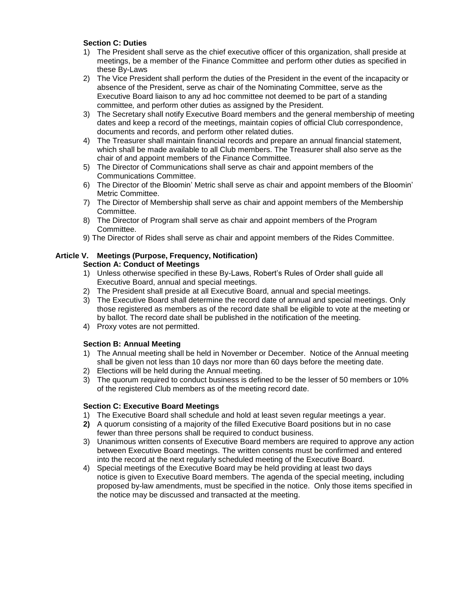# **Section C: Duties**

- 1) The President shall serve as the chief executive officer of this organization, shall preside at meetings, be a member of the Finance Committee and perform other duties as specified in these By-Laws
- 2) The Vice President shall perform the duties of the President in the event of the incapacity or absence of the President, serve as chair of the Nominating Committee, serve as the Executive Board liaison to any ad hoc committee not deemed to be part of a standing committee*,* and perform other duties as assigned by the President.
- 3) The Secretary shall notify Executive Board members and the general membership of meeting dates and keep a record of the meetings, maintain copies of official Club correspondence, documents and records, and perform other related duties.
- 4) The Treasurer shall maintain financial records and prepare an annual financial statement, which shall be made available to all Club members. The Treasurer shall also serve as the chair of and appoint members of the Finance Committee.
- 5) The Director of Communications shall serve as chair and appoint members of the Communications Committee.
- 6) The Director of the Bloomin' Metric shall serve as chair and appoint members of the Bloomin' Metric Committee.
- 7) The Director of Membership shall serve as chair and appoint members of the Membership Committee.
- 8) The Director of Program shall serve as chair and appoint members of the Program Committee.
- 9) The Director of Rides shall serve as chair and appoint members of the Rides Committee.

# **Article V. Meetings (Purpose, Frequency, Notification)**

# **Section A: Conduct of Meetings**

- 1) Unless otherwise specified in these By-Laws, Robert's Rules of Order shall guide all Executive Board, annual and special meetings.
- 2) The President shall preside at all Executive Board, annual and special meetings.
- 3) The Executive Board shall determine the record date of annual and special meetings. Only those registered as members as of the record date shall be eligible to vote at the meeting or by ballot. The record date shall be published in the notification of the meeting.
- 4) Proxy votes are not permitted.

# **Section B: Annual Meeting**

- 1) The Annual meeting shall be held in November or December. Notice of the Annual meeting shall be given not less than 10 days nor more than 60 days before the meeting date.
- 2) Elections will be held during the Annual meeting.
- 3) The quorum required to conduct business is defined to be the lesser of 50 members or 10% of the registered Club members as of the meeting record date.

# **Section C: Executive Board Meetings**

- 1) The Executive Board shall schedule and hold at least seven regular meetings a year.
- **2)** A quorum consisting of a majority of the filled Executive Board positions but in no case fewer than three persons shall be required to conduct business.
- 3) Unanimous written consents of Executive Board members are required to approve any action between Executive Board meetings. The written consents must be confirmed and entered into the record at the next regularly scheduled meeting of the Executive Board.
- 4) Special meetings of the Executive Board may be held providing at least two days notice is given to Executive Board members. The agenda of the special meeting, including proposed by-law amendments, must be specified in the notice. Only those items specified in the notice may be discussed and transacted at the meeting.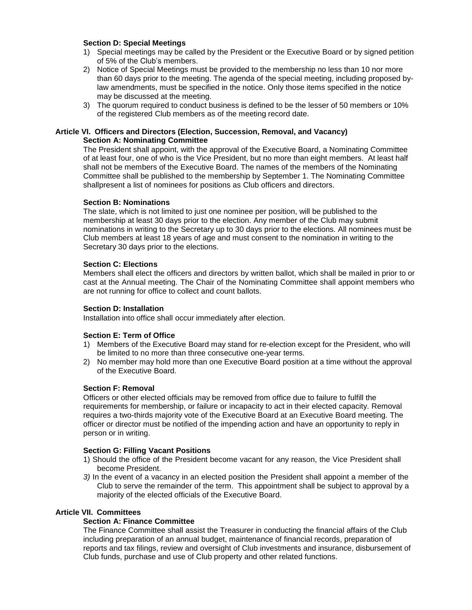# **Section D: Special Meetings**

- 1) Special meetings may be called by the President or the Executive Board or by signed petition of 5% of the Club's members.
- 2) Notice of Special Meetings must be provided to the membership no less than 10 nor more than 60 days prior to the meeting. The agenda of the special meeting, including proposed bylaw amendments, must be specified in the notice. Only those items specified in the notice may be discussed at the meeting.
- 3) The quorum required to conduct business is defined to be the lesser of 50 members or 10% of the registered Club members as of the meeting record date.

# **Article VI. Officers and Directors (Election, Succession, Removal, and Vacancy) Section A: Nominating Committee**

The President shall appoint, with the approval of the Executive Board, a Nominating Committee of at least four, one of who is the Vice President, but no more than eight members. At least half shall not be members of the Executive Board. The names of the members of the Nominating Committee shall be published to the membership by September 1. The Nominating Committee shallpresent a list of nominees for positions as Club officers and directors.

# **Section B: Nominations**

The slate, which is not limited to just one nominee per position, will be published to the membership at least 30 days prior to the election. Any member of the Club may submit nominations in writing to the Secretary up to 30 days prior to the elections. All nominees must be Club members at least 18 years of age and must consent to the nomination in writing to the Secretary 30 days prior to the elections.

# **Section C: Elections**

Members shall elect the officers and directors by written ballot, which shall be mailed in prior to or cast at the Annual meeting. The Chair of the Nominating Committee shall appoint members who are not running for office to collect and count ballots.

# **Section D: Installation**

Installation into office shall occur immediately after election.

# **Section E: Term of Office**

- 1) Members of the Executive Board may stand for re-election except for the President, who will be limited to no more than three consecutive one-year terms.
- 2) No member may hold more than one Executive Board position at a time without the approval of the Executive Board.

# **Section F: Removal**

Officers or other elected officials may be removed from office due to failure to fulfill the requirements for membership, or failure or incapacity to act in their elected capacity. Removal requires a two-thirds majority vote of the Executive Board at an Executive Board meeting. The officer or director must be notified of the impending action and have an opportunity to reply in person or in writing.

# **Section G: Filling Vacant Positions**

- 1) Should the office of the President become vacant for any reason, the Vice President shall become President.
- *3)* In the event of a vacancy in an elected position the President shall appoint a member of the Club to serve the remainder of the term. This appointment shall be subject to approval by a majority of the elected officials of the Executive Board.

# **Article VII. Committees**

# **Section A: Finance Committee**

The Finance Committee shall assist the Treasurer in conducting the financial affairs of the Club including preparation of an annual budget, maintenance of financial records, preparation of reports and tax filings, review and oversight of Club investments and insurance, disbursement of Club funds, purchase and use of Club property and other related functions.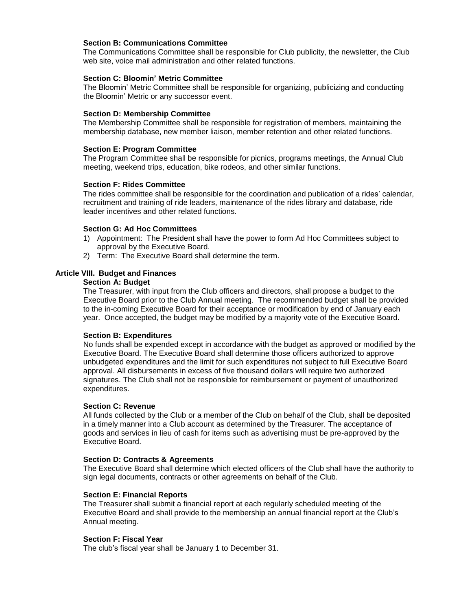## **Section B: Communications Committee**

The Communications Committee shall be responsible for Club publicity, the newsletter, the Club web site, voice mail administration and other related functions.

#### **Section C: Bloomin' Metric Committee**

The Bloomin' Metric Committee shall be responsible for organizing, publicizing and conducting the Bloomin' Metric or any successor event.

#### **Section D: Membership Committee**

The Membership Committee shall be responsible for registration of members, maintaining the membership database, new member liaison, member retention and other related functions.

#### **Section E: Program Committee**

The Program Committee shall be responsible for picnics, programs meetings, the Annual Club meeting, weekend trips, education, bike rodeos, and other similar functions.

#### **Section F: Rides Committee**

The rides committee shall be responsible for the coordination and publication of a rides' calendar, recruitment and training of ride leaders, maintenance of the rides library and database, ride leader incentives and other related functions.

#### **Section G: Ad Hoc Committees**

- 1) Appointment: The President shall have the power to form Ad Hoc Committees subject to approval by the Executive Board.
- 2) Term: The Executive Board shall determine the term.

#### **Article VIII. Budget and Finances**

#### **Section A: Budget**

The Treasurer, with input from the Club officers and directors, shall propose a budget to the Executive Board prior to the Club Annual meeting. The recommended budget shall be provided to the in-coming Executive Board for their acceptance or modification by end of January each year. Once accepted, the budget may be modified by a majority vote of the Executive Board.

# **Section B: Expenditures**

No funds shall be expended except in accordance with the budget as approved or modified by the Executive Board. The Executive Board shall determine those officers authorized to approve unbudgeted expenditures and the limit for such expenditures not subject to full Executive Board approval. All disbursements in excess of five thousand dollars will require two authorized signatures. The Club shall not be responsible for reimbursement or payment of unauthorized expenditures.

#### **Section C: Revenue**

All funds collected by the Club or a member of the Club on behalf of the Club, shall be deposited in a timely manner into a Club account as determined by the Treasurer. The acceptance of goods and services in lieu of cash for items such as advertising must be pre-approved by the Executive Board.

#### **Section D: Contracts & Agreements**

The Executive Board shall determine which elected officers of the Club shall have the authority to sign legal documents, contracts or other agreements on behalf of the Club.

# **Section E: Financial Reports**

The Treasurer shall submit a financial report at each regularly scheduled meeting of the Executive Board and shall provide to the membership an annual financial report at the Club's Annual meeting.

#### **Section F: Fiscal Year**

The club's fiscal year shall be January 1 to December 31.